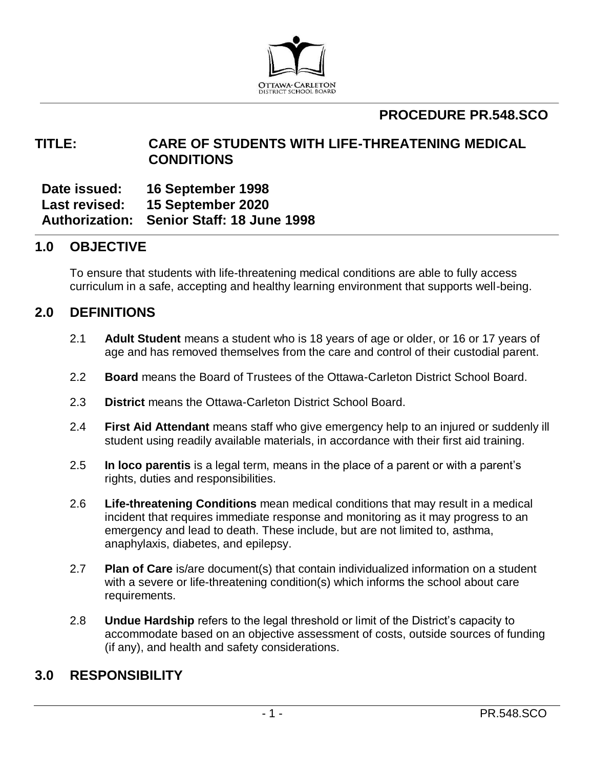

# **PROCEDURE PR.548.SCO**

## **TITLE: CARE OF STUDENTS WITH LIFE-THREATENING MEDICAL CONDITIONS**

**Date issued: 16 September 1998 Last revised: 15 September 2020 Authorization: Senior Staff: 18 June 1998**

### **1.0 OBJECTIVE**

To ensure that students with life-threatening medical conditions are able to fully access curriculum in a safe, accepting and healthy learning environment that supports well-being.

### **2.0 DEFINITIONS**

- 2.1 **Adult Student** means a student who is 18 years of age or older, or 16 or 17 years of age and has removed themselves from the care and control of their custodial parent.
- 2.2 **Board** means the Board of Trustees of the Ottawa-Carleton District School Board.
- 2.3 **District** means the Ottawa-Carleton District School Board.
- 2.4 **First Aid Attendant** means staff who give emergency help to an injured or suddenly ill student using readily available materials, in accordance with their first aid training.
- 2.5 **In loco parentis** is a legal term, means in the place of a parent or with a parent's rights, duties and responsibilities.
- 2.6 **Life-threatening Conditions** mean medical conditions that may result in a medical incident that requires immediate response and monitoring as it may progress to an emergency and lead to death. These include, but are not limited to, asthma, anaphylaxis, diabetes, and epilepsy.
- 2.7 **Plan of Care** is/are document(s) that contain individualized information on a student with a severe or life-threatening condition(s) which informs the school about care requirements.
- 2.8 **Undue Hardship** refers to the legal threshold or limit of the District's capacity to accommodate based on an objective assessment of costs, outside sources of funding (if any), and health and safety considerations.

## **3.0 RESPONSIBILITY**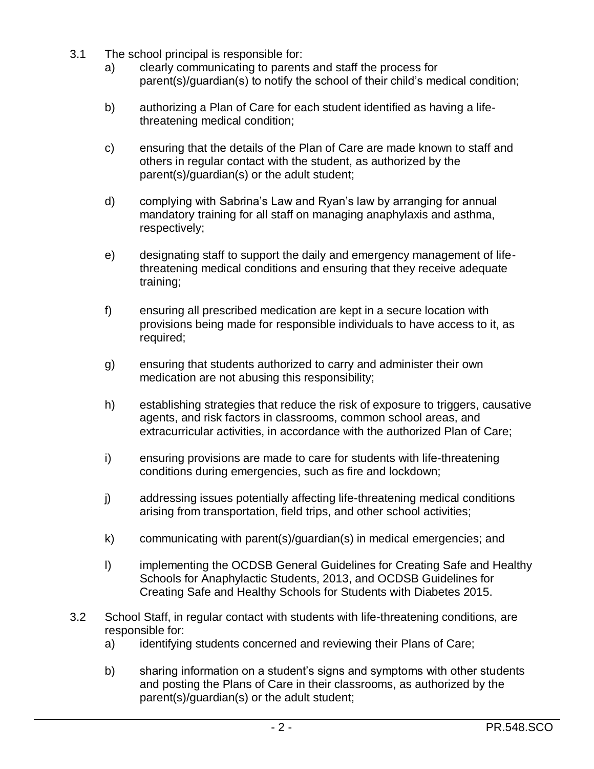- 3.1 The school principal is responsible for:
	- a) clearly communicating to parents and staff the process for parent(s)/guardian(s) to notify the school of their child's medical condition;
	- b) authorizing a Plan of Care for each student identified as having a lifethreatening medical condition;
	- c) ensuring that the details of the Plan of Care are made known to staff and others in regular contact with the student, as authorized by the parent(s)/guardian(s) or the adult student;
	- d) complying with Sabrina's Law and Ryan's law by arranging for annual mandatory training for all staff on managing anaphylaxis and asthma, respectively;
	- e) designating staff to support the daily and emergency management of lifethreatening medical conditions and ensuring that they receive adequate training;
	- f) ensuring all prescribed medication are kept in a secure location with provisions being made for responsible individuals to have access to it, as required;
	- g) ensuring that students authorized to carry and administer their own medication are not abusing this responsibility;
	- h) establishing strategies that reduce the risk of exposure to triggers, causative agents, and risk factors in classrooms, common school areas, and extracurricular activities, in accordance with the authorized Plan of Care;
	- i) ensuring provisions are made to care for students with life-threatening conditions during emergencies, such as fire and lockdown;
	- j) addressing issues potentially affecting life-threatening medical conditions arising from transportation, field trips, and other school activities;
	- k) communicating with parent(s)/guardian(s) in medical emergencies; and
	- l) implementing the OCDSB General Guidelines for Creating Safe and Healthy Schools for Anaphylactic Students, 2013, and OCDSB Guidelines for Creating Safe and Healthy Schools for Students with Diabetes 2015.
- 3.2 School Staff, in regular contact with students with life-threatening conditions, are responsible for:
	- a) identifying students concerned and reviewing their Plans of Care;
	- b) sharing information on a student's signs and symptoms with other students and posting the Plans of Care in their classrooms, as authorized by the parent(s)/guardian(s) or the adult student;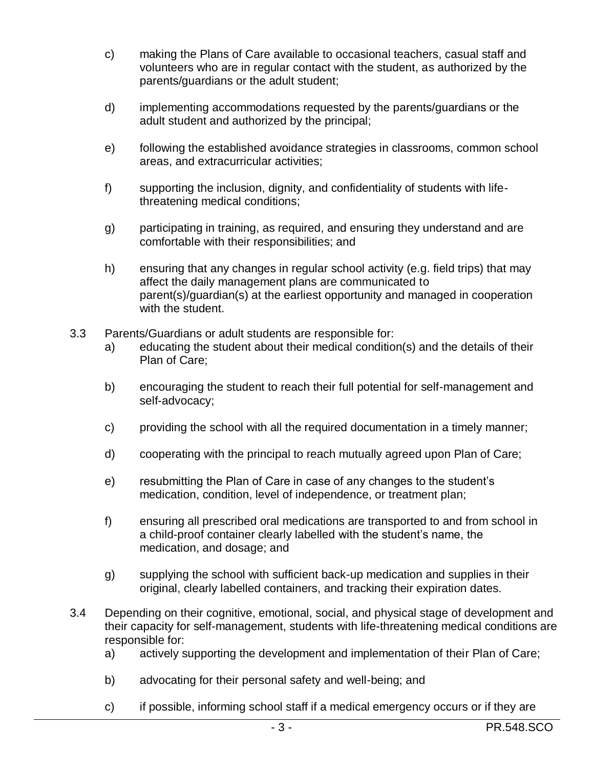- c) making the Plans of Care available to occasional teachers, casual staff and volunteers who are in regular contact with the student, as authorized by the parents/guardians or the adult student;
- d) implementing accommodations requested by the parents/guardians or the adult student and authorized by the principal;
- e) following the established avoidance strategies in classrooms, common school areas, and extracurricular activities;
- f) supporting the inclusion, dignity, and confidentiality of students with lifethreatening medical conditions;
- g) participating in training, as required, and ensuring they understand and are comfortable with their responsibilities; and
- h) ensuring that any changes in regular school activity (e.g. field trips) that may affect the daily management plans are communicated to parent(s)/guardian(s) at the earliest opportunity and managed in cooperation with the student.
- 3.3 Parents/Guardians or adult students are responsible for:
	- a) educating the student about their medical condition(s) and the details of their Plan of Care;
	- b) encouraging the student to reach their full potential for self-management and self-advocacy;
	- c) providing the school with all the required documentation in a timely manner;
	- d) cooperating with the principal to reach mutually agreed upon Plan of Care;
	- e) resubmitting the Plan of Care in case of any changes to the student's medication, condition, level of independence, or treatment plan;
	- f) ensuring all prescribed oral medications are transported to and from school in a child-proof container clearly labelled with the student's name, the medication, and dosage; and
	- g) supplying the school with sufficient back-up medication and supplies in their original, clearly labelled containers, and tracking their expiration dates.
- 3.4 Depending on their cognitive, emotional, social, and physical stage of development and their capacity for self-management, students with life-threatening medical conditions are responsible for:
	- a) actively supporting the development and implementation of their Plan of Care;
	- b) advocating for their personal safety and well-being; and
	- c) if possible, informing school staff if a medical emergency occurs or if they are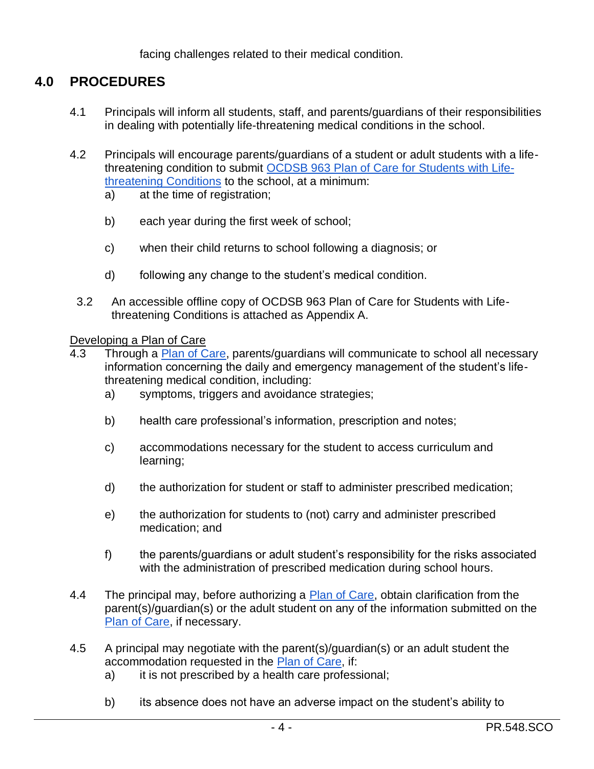facing challenges related to their medical condition.

## **4.0 PROCEDURES**

- 4.1 Principals will inform all students, staff, and parents/guardians of their responsibilities in dealing with potentially life-threatening medical conditions in the school.
- 4.2 Principals will encourage parents/guardians of a student or adult students with a lifethreatening condition to submit [OCDSB 963 Plan of Care](https://forms.ocdsb.ca/Forms/Plan-Of-Care-For-Students-With-Life-Threatening-Medical-Conditions) for Students with Life[threatening Conditions](https://forms.ocdsb.ca/Forms/Plan-Of-Care-For-Students-With-Life-Threatening-Medical-Conditions) to the school, at a minimum:
	- a) at the time of registration;
	- b) each year during the first week of school;
	- c) when their child returns to school following a diagnosis; or
	- d) following any change to the student's medical condition.
	- 3.2 An accessible offline copy of OCDSB 963 Plan of Care for Students with Lifethreatening Conditions is attached as Appendix A.

#### Developing a Plan of Care

- 4.3 Through a [Plan of Care,](https://forms.ocdsb.ca/Forms/Plan-Of-Care-For-Students-With-Life-Threatening-Medical-Conditions) parents/guardians will communicate to school all necessary information concerning the daily and emergency management of the student's lifethreatening medical condition, including:
	- a) symptoms, triggers and avoidance strategies;
	- b) health care professional's information, prescription and notes;
	- c) accommodations necessary for the student to access curriculum and learning;
	- d) the authorization for student or staff to administer prescribed medication;
	- e) the authorization for students to (not) carry and administer prescribed medication; and
	- f) the parents/guardians or adult student's responsibility for the risks associated with the administration of prescribed medication during school hours.
- 4.4 The principal may, before authorizing a [Plan of Care,](https://forms.ocdsb.ca/Forms/Plan-Of-Care-For-Students-With-Life-Threatening-Medical-Conditions) obtain clarification from the parent(s)/guardian(s) or the adult student on any of the information submitted on the [Plan of Care,](https://forms.ocdsb.ca/Forms/Plan-Of-Care-For-Students-With-Life-Threatening-Medical-Conditions) if necessary.
- 4.5 A principal may negotiate with the parent(s)/guardian(s) or an adult student the accommodation requested in the [Plan of Care,](https://forms.ocdsb.ca/Forms/Plan-Of-Care-For-Students-With-Life-Threatening-Medical-Conditions) if:
	- a) it is not prescribed by a health care professional;
	- b) its absence does not have an adverse impact on the student's ability to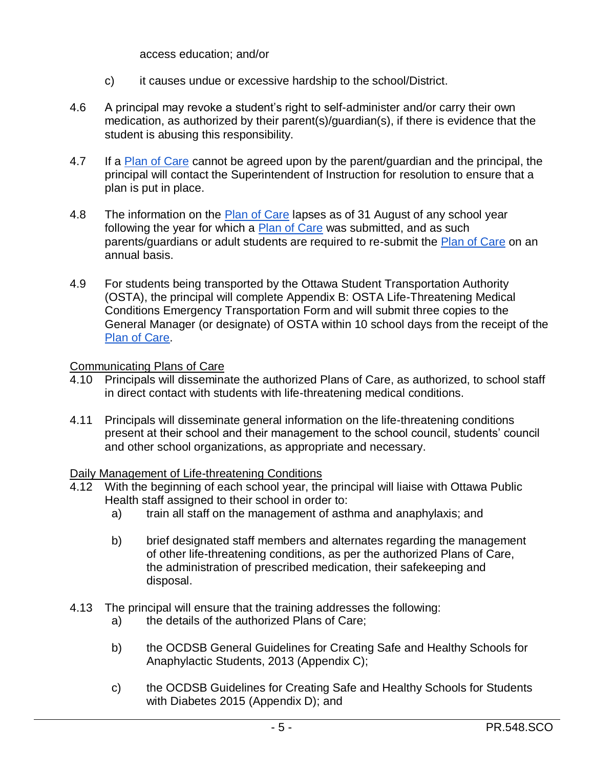access education; and/or

- c) it causes undue or excessive hardship to the school/District.
- 4.6 A principal may revoke a student's right to self-administer and/or carry their own medication, as authorized by their parent(s)/guardian(s), if there is evidence that the student is abusing this responsibility.
- 4.7 If a [Plan of Care](https://forms.ocdsb.ca/Forms/Plan-Of-Care-For-Students-With-Life-Threatening-Medical-Conditions) cannot be agreed upon by the parent/guardian and the principal, the principal will contact the Superintendent of Instruction for resolution to ensure that a plan is put in place.
- 4.8 The information on the [Plan of Care](https://forms.ocdsb.ca/Forms/Plan-Of-Care-For-Students-With-Life-Threatening-Medical-Conditions) lapses as of 31 August of any school year following the year for which a [Plan of Care](https://forms.ocdsb.ca/Forms/Plan-Of-Care-For-Students-With-Life-Threatening-Medical-Conditions) was submitted, and as such parents/guardians or adult students are required to re-submit the [Plan of Care](https://forms.ocdsb.ca/Forms/Plan-Of-Care-For-Students-With-Life-Threatening-Medical-Conditions) on an annual basis.
- 4.9 For students being transported by the Ottawa Student Transportation Authority (OSTA), the principal will complete Appendix B: OSTA Life-Threatening Medical Conditions Emergency Transportation Form and will submit three copies to the General Manager (or designate) of OSTA within 10 school days from the receipt of the [Plan of Care.](https://forms.ocdsb.ca/Forms/Plan-Of-Care-For-Students-With-Life-Threatening-Medical-Conditions)

#### Communicating Plans of Care

- 4.10 Principals will disseminate the authorized Plans of Care, as authorized, to school staff in direct contact with students with life-threatening medical conditions.
- 4.11 Principals will disseminate general information on the life-threatening conditions present at their school and their management to the school council, students' council and other school organizations, as appropriate and necessary.

#### Daily Management of Life-threatening Conditions

- 4.12 With the beginning of each school year, the principal will liaise with Ottawa Public Health staff assigned to their school in order to:
	- a) train all staff on the management of asthma and anaphylaxis; and
	- b) brief designated staff members and alternates regarding the management of other life-threatening conditions, as per the authorized Plans of Care, the administration of prescribed medication, their safekeeping and disposal.
- 4.13 The principal will ensure that the training addresses the following:
	- a) the details of the authorized Plans of Care;
	- b) the OCDSB General Guidelines for Creating Safe and Healthy Schools for Anaphylactic Students, 2013 (Appendix C);
	- c) the OCDSB Guidelines for Creating Safe and Healthy Schools for Students with Diabetes 2015 (Appendix D); and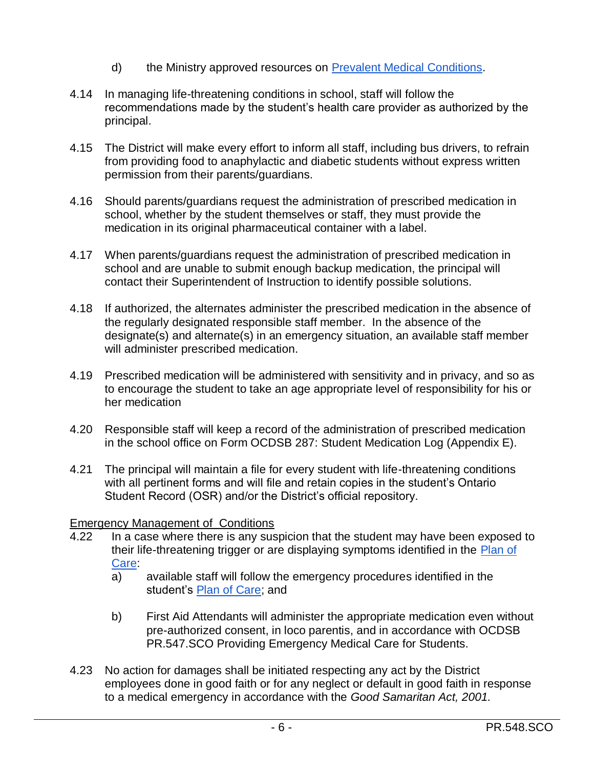- d) the Ministry approved resources on [Prevalent Medical Conditions.](http://www.edugains.ca/newsite/SafeHealthySchools/medical-conditions/Prevalent-Medical-Conditions.html)
- 4.14 In managing life-threatening conditions in school, staff will follow the recommendations made by the student's health care provider as authorized by the principal.
- 4.15 The District will make every effort to inform all staff, including bus drivers, to refrain from providing food to anaphylactic and diabetic students without express written permission from their parents/guardians.
- 4.16 Should parents/guardians request the administration of prescribed medication in school, whether by the student themselves or staff, they must provide the medication in its original pharmaceutical container with a label.
- 4.17 When parents/guardians request the administration of prescribed medication in school and are unable to submit enough backup medication, the principal will contact their Superintendent of Instruction to identify possible solutions.
- 4.18 If authorized, the alternates administer the prescribed medication in the absence of the regularly designated responsible staff member. In the absence of the designate(s) and alternate(s) in an emergency situation, an available staff member will administer prescribed medication.
- 4.19 Prescribed medication will be administered with sensitivity and in privacy, and so as to encourage the student to take an age appropriate level of responsibility for his or her medication
- 4.20 Responsible staff will keep a record of the administration of prescribed medication in the school office on Form OCDSB 287: Student Medication Log (Appendix E).
- 4.21 The principal will maintain a file for every student with life-threatening conditions with all pertinent forms and will file and retain copies in the student's Ontario Student Record (OSR) and/or the District's official repository.

#### Emergency Management of Conditions

- 4.22 In a case where there is any suspicion that the student may have been exposed to their life-threatening trigger or are displaying symptoms identified in the [Plan of](https://forms.ocdsb.ca/Forms/Plan-Of-Care-For-Students-With-Life-Threatening-Medical-Conditions)  [Care:](https://forms.ocdsb.ca/Forms/Plan-Of-Care-For-Students-With-Life-Threatening-Medical-Conditions)
	- a) available staff will follow the emergency procedures identified in the student's [Plan of Care;](https://forms.ocdsb.ca/Forms/Plan-Of-Care-For-Students-With-Life-Threatening-Medical-Conditions) and
	- b) First Aid Attendants will administer the appropriate medication even without pre-authorized consent, in loco parentis, and in accordance with OCDSB PR.547.SCO Providing Emergency Medical Care for Students.
- 4.23 No action for damages shall be initiated respecting any act by the District employees done in good faith or for any neglect or default in good faith in response to a medical emergency in accordance with the *Good Samaritan Act, 2001.*